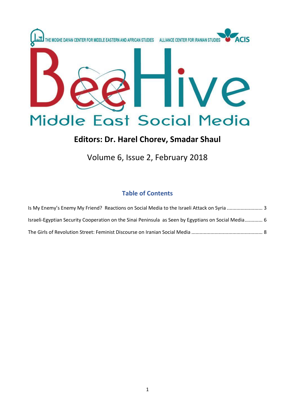

# **Editors: Dr. Harel Chorev, Smadar Shaul**

# Volume 6, Issue 2, February 2018

# **Table of Contents**

| Israeli-Egyptian Security Cooperation on the Sinai Peninsula as Seen by Egyptians on Social Media 6 |  |
|-----------------------------------------------------------------------------------------------------|--|
|                                                                                                     |  |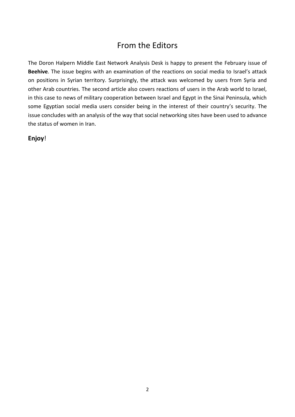# From the Editors

The Doron Halpern Middle East Network Analysis Desk is happy to present the February issue of **Beehive**. The issue begins with an examination of the reactions on social media to Israel's attack on positions in Syrian territory. Surprisingly, the attack was welcomed by users from Syria and other Arab countries. The second article also covers reactions of users in the Arab world to Israel, in this case to news of military cooperation between Israel and Egypt in the Sinai Peninsula, which some Egyptian social media users consider being in the interest of their country's security. The issue concludes with an analysis of the way that social networking sites have been used to advance the status of women in Iran.

**Enjoy**!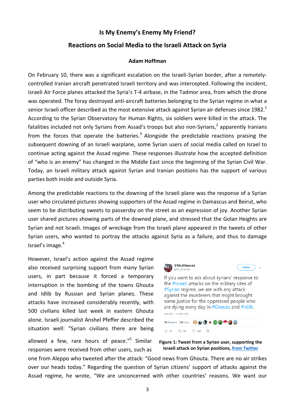## **Is My Enemy's Enemy My Friend?**

### <span id="page-2-0"></span>**Reactions on Social Media to the Israeli Attack on Syria**

#### **Adam Hoffman**

On February 10, there was a significant escalation on the Israeli-Syrian border, after a remotelycontrolled Iranian aircraft penetrated Israeli territory and was intercepted. Following the incident, Israeli Air Force planes attacked the Syria's T-4 airbase, in the Tadmor area, from which the drone was operated. The foray destroyed anti-aircraft batteries belonging to the Syrian regime in what a senior Israeli officer described as the most extensive attack against Syrian air defenses since 1982.<sup>1</sup> According to the Syrian Observatory for Human Rights, six soldiers were killed in the attack. The fatalities included not only Syrians from Assad's troops but also non-Syrians,<sup>2</sup> apparently Iranians from the forces that operate the batteries.<sup>3</sup> Alongside the predictable reactions praising the subsequent downing of an Israeli warplane, some Syrian users of social media called on Israel to continue acting against the Assad regime. These responses illustrate how the accepted definition of "who is an enemy" has changed in the Middle East since the beginning of the Syrian Civil War. Today, an Israeli military attack against Syrian and Iranian positions has the support of various parties both inside and outside Syria.

Among the predictable reactions to the downing of the Israeli plane was the response of a Syrian user who circulated pictures showing supporters of the Assad regime in Damascus and Beirut, who seem to be distributing sweets to passersby on the street as an expression of joy. Another Syrian user shared pictures showing parts of the downed plane, and stressed that the Golan Heights are Syrian and not Israeli. Images of wreckage from the Israeli plane appeared in the tweets of other Syrian users, who wanted to portray the attacks against Syria as a failure, and thus to damage Israel's image. $4$ 

However, Israel's action against the Assad regime also received surprising support from many Syrian users, in part because it forced a temporary interruption in the bombing of the towns Ghouta and Idlib by Russian and Syrian planes. These attacks have increased considerably recently, with 500 civilians killed last week in eastern Ghouta alone. Israeli journalist Anshel Pfeffer described the situation well: "Syrian civilians there are being

allowed a few, rare hours of peace."<sup>5</sup> Similar responses were received from other users, such as





one from Aleppo who tweeted after the attack: "Good news from Ghouta. There are no air strikes over our heads today." Regarding the question of Syrian citizens' support of attacks against the Assad regime, he wrote, "We are unconcerned with other countries' reasons. We want our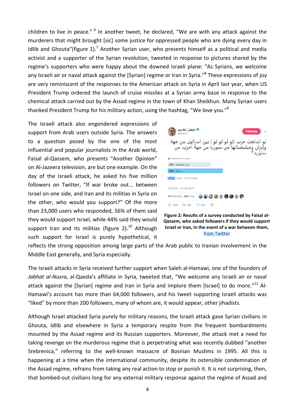children to live in peace." <sup>6</sup> In another tweet, he declared, "We are with any attack against the murderers that might brought [sic] some justice for oppressed people who are dying every day in Idlib and Ghouta"(figure  $1$ ).<sup>7</sup> Another Syrian user, who presents himself as a political and media activist and a supporter of the Syrian revolution, tweeted in response to pictures shared by the regime's supporters who were happy about the downed Israeli plane: "As Syrians, we welcome any Israeli air or naval attack against the [Syrian] regime or Iran in Syria."<sup>8</sup> These expressions of joy are very reminiscent of the responses to the American attack on Syria in April last year, when US President Trump ordered the launch of cruise missiles at a Syrian army base in response to the chemical attack carried out by the Assad regime in the town of Khan Sheikhun. Many Syrian users thanked President Trump for his military action, using the hashtag, "We love you."<sup>9</sup>

The Israeli attack also engendered expressions of support from Arab users outside Syria. The answers to a question posed by the one of the most influential and popular journalists in the Arab world, Faisal al-Qassem, who presents "Another Opinion" on Al-Jazeera television, are but one example. On the day of the Israeli attack, he asked his five million followers on Twitter, "If war broke out... between Israel on one side, and Iran and its militias in Syria on the other, who would you support?" Of the more than 23,000 users who responded, 56% of them said they would support Israel, while 44% said they would support Iran and its militias (figure 2).<sup>10</sup> Although such support for Israel is purely hypothetical, it



**Figure 2: Results of a survey conducted by Faisal al-Qassem, who asked followers if they would support Israel or Iran, in the event of a war between them, [from Twitter](https://twitter.com/kasimf/status/962237258895122433)**

reflects the strong opposition among large parts of the Arab public to Iranian involvement in the Middle East generally, and Syria especially.

The Israeli attacks in Syria received further support when Saleh al-Hamawi, one of the founders of *Jabhat al-Nusra*, al-Qaeda's affiliate in Syria, tweeted that, "We welcome any Israeli air or naval attack against the [Syrian] regime and Iran in Syria and implore them [Israel] to do more."<sup>11</sup> Al-Hamawi's account has more than 64,000 followers, and his tweet supporting Israeli attacks was "liked" by more than 200 followers, many of whom are, it would appear, other jihadists.

Although Israel attacked Syria purely for military reasons, the Israeli attack gave Syrian civilians in Ghouta, Idlib and elsewhere in Syria a temporary respite from the frequent bombardments mounted by the Assad regime and its Russian supporters. Moreover, the attack met a need for taking revenge on the murderous regime that is perpetrating what was recently dubbed "another Srebrenica," referring to the well-known massacre of Bosnian Muslims in 1995. All this is happening at a time when the international community, despite its ostensible condemnation of the Assad regime, refrains from taking any real action to stop or punish it. It is not surprising, then, that bombed-out civilians long for any external military response against the regime of Assad and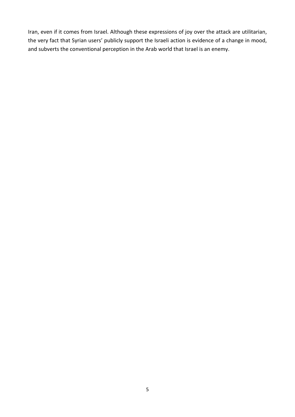Iran, even if it comes from Israel. Although these expressions of joy over the attack are utilitarian, the very fact that Syrian users' publicly support the Israeli action is evidence of a change in mood, and subverts the conventional perception in the Arab world that Israel is an enemy.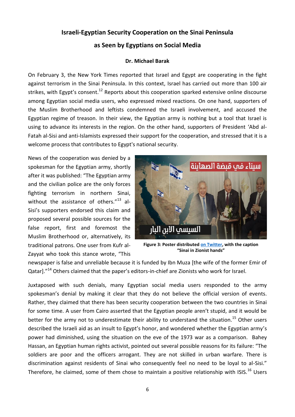# <span id="page-5-0"></span>**Israeli-Egyptian Security Cooperation on the Sinai Peninsula**

## **as Seen by Egyptians on Social Media**

### **Dr. Michael Barak**

On February 3, the New York Times reported that Israel and Egypt are cooperating in the fight against terrorism in the Sinai Peninsula. In this context, Israel has carried out more than 100 air strikes, with Egypt's consent.<sup>12</sup> Reports about this cooperation sparked extensive online discourse among Egyptian social media users, who expressed mixed reactions. On one hand, supporters of the Muslim Brotherhood and leftists condemned the Israeli involvement, and accused the Egyptian regime of treason. In their view, the Egyptian army is nothing but a tool that Israel is using to advance its interests in the region. On the other hand, supporters of President 'Abd al-Fatah al-Sisi and anti-Islamists expressed their support for the cooperation, and stressed that it is a welcome process that contributes to Egypt's national security.

News of the cooperation was denied by a spokesman for the Egyptian army, shortly after it was published: "The Egyptian army and the civilian police are the only forces fighting terrorism in northern Sinai, without the assistance of others. $"^{13}$  al-Sisi's supporters endorsed this claim and proposed several possible sources for the false report, first and foremost the Muslim Brotherhood or, alternatively, its traditional patrons. One user from Kufr al-Zayyat who took this stance wrote, "This



**Figure 3: Poster distributed [on Twitter,](https://twitter.com/Youthacalex/status/961543931002589184) with the caption "Sinai in Zionist hands"**

newspaper is false and unreliable because it is funded by Ibn Muza [the wife of the former Emir of Qatar]."<sup>14</sup> Others claimed that the paper's editors-in-chief are Zionists who work for Israel.

Juxtaposed with such denials, many Egyptian social media users responded to the army spokesman's denial by making it clear that they do not believe the official version of events. Rather, they claimed that there has been security cooperation between the two countries in Sinai for some time. A user from Cairo asserted that the Egyptian people aren't stupid, and it would be better for the army not to underestimate their ability to understand the situation.<sup>15</sup> Other users described the Israeli aid as an insult to Egypt's honor, and wondered whether the Egyptian army's power had diminished, using the situation on the eve of the 1973 war as a comparison. Bahey Hassan, an Egyptian human rights activist, pointed out several possible reasons for its failure: "The soldiers are poor and the officers arrogant. They are not skilled in urban warfare. There is discrimination against residents of Sinai who consequently feel no need to be loyal to al-Sisi." Therefore, he claimed, some of them chose to maintain a positive relationship with ISIS.<sup>16</sup> Users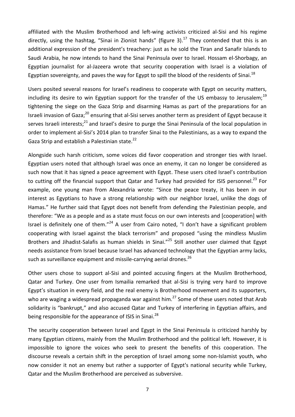affiliated with the Muslim Brotherhood and left-wing activists criticized al-Sisi and his regime directly, using the hashtag, "Sinai in Zionist hands" (figure 3).<sup>17</sup> They contended that this is an additional expression of the president's treachery: just as he sold the Tiran and Sanafir Islands to Saudi Arabia, he now intends to hand the Sinai Peninsula over to Israel. Hossam el-Shorbagy, an Egyptian journalist for al-Jazeera wrote that security cooperation with Israel is a violation of Egyptian sovereignty, and paves the way for Egypt to spill the blood of the residents of Sinai.<sup>18</sup>

Users posited several reasons for Israel's readiness to cooperate with Egypt on security matters, including its desire to win Egyptian support for the transfer of the US embassy to Jerusalem;<sup>19</sup> tightening the siege on the Gaza Strip and disarming Hamas as part of the preparations for an Israeli invasion of Gaza;<sup>20</sup> ensuring that al-Sisi serves another term as president of Egypt because it serves Israeli interests;<sup>21</sup> and Israel's desire to purge the Sinai Peninsula of the local population in order to implement al-Sisi's 2014 plan to transfer Sinai to the Palestinians, as a way to expand the Gaza Strip and establish a Palestinian state.<sup>22</sup>

Alongside such harsh criticism, some voices did favor cooperation and stronger ties with Israel. Egyptian users noted that although Israel was once an enemy, it can no longer be considered as such now that it has signed a peace agreement with Egypt. These users cited Israel's contribution to cutting off the financial support that Qatar and Turkey had provided for ISIS personnel.<sup>23</sup> For example, one young man from Alexandria wrote: "Since the peace treaty, it has been in our interest as Egyptians to have a strong relationship with our neighbor Israel, unlike the dogs of Hamas." He further said that Egypt does not benefit from defending the Palestinian people, and therefore: "We as a people and as a state must focus on our own interests and [cooperation] with Israel is definitely one of them."<sup>24</sup> A user from Cairo noted, "I don't have a significant problem cooperating with Israel against the black terrorism" and proposed "using the mindless Muslim Brothers and Jihadist-Salafis as human shields in Sinai."<sup>25</sup> Still another user claimed that Egypt needs assistance from Israel because Israel has advanced technology that the Egyptian army lacks, such as surveillance equipment and missile-carrying aerial drones.<sup>26</sup>

Other users chose to support al-Sisi and pointed accusing fingers at the Muslim Brotherhood, Qatar and Turkey. One user from Ismailia remarked that al-Sisi is trying very hard to improve Egypt's situation in every field, and the real enemy is Brotherhood movement and its supporters, who are waging a widespread propaganda war against him.<sup>27</sup> Some of these users noted that Arab solidarity is "bankrupt," and also accused Qatar and Turkey of interfering in Egyptian affairs, and being responsible for the appearance of ISIS in Sinai.<sup>28</sup>

The security cooperation between Israel and Egypt in the Sinai Peninsula is criticized harshly by many Egyptian citizens, mainly from the Muslim Brotherhood and the political left. However, it is impossible to ignore the voices who seek to present the benefits of this cooperation. The discourse reveals a certain shift in the perception of Israel among some non-Islamist youth, who now consider it not an enemy but rather a supporter of Egypt's national security while Turkey, Qatar and the Muslim Brotherhood are perceived as subversive.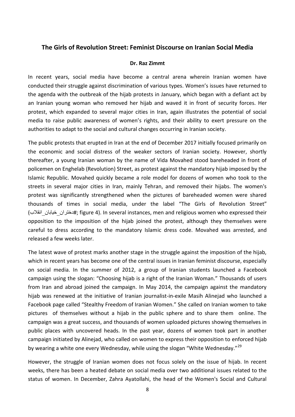### <span id="page-7-0"></span>**The Girls of Revolution Street: Feminist Discourse on Iranian Social Media**

#### **Dr. Raz Zimmt**

In recent years, social media have become a central arena wherein Iranian women have conducted their struggle against discrimination of various types. Women's issues have returned to the agenda with the outbreak of the hijab protests in January, which began with a defiant act by an Iranian young woman who removed her hijab and waved it in front of security forces. Her protest, which expanded to several major cities in Iran, again illustrates the potential of social media to raise public awareness of women's rights, and their ability to exert pressure on the authorities to adapt to the social and cultural changes occurring in Iranian society.

The public protests that erupted in Iran at the end of December 2017 initially focused primarily on the economic and social distress of the weaker sectors of Iranian society. However, shortly thereafter, a young Iranian woman by the name of Vida Movahed stood bareheaded in front of policemen on Enghelab (Revolution) Street, as protest against the mandatory hijab imposed by the Islamic Republic. Movahed quickly became a role model for dozens of women who took to the streets in several major cities in Iran, mainly Tehran, and removed their hijabs. The women's protest was significantly strengthened when the pictures of bareheaded women were shared thousands of times in social media, under the label "The Girls of Revolution Street" (انقالب\_خیابان\_دختران# ;figure 4). In several instances, men and religious women who expressed their opposition to the imposition of the hijab joined the protest, although they themselves were careful to dress according to the mandatory Islamic dress code. Movahed was arrested, and released a few weeks later.

The latest wave of protest marks another stage in the struggle against the imposition of the hijab, which in recent years has become one of the central issues in Iranian feminist discourse, especially on social media. In the summer of 2012, a group of Iranian students launched a Facebook campaign using the slogan: "Choosing hijab is a right of the Iranian Woman." Thousands of users from Iran and abroad joined the campaign. In May 2014, the campaign against the mandatory hijab was renewed at the initiative of Iranian journalist-in-exile Masih Alinejad who launched a Facebook page called "Stealthy Freedom of Iranian Women." She called on Iranian women to take pictures of themselves without a hijab in the public sphere and to share them online. The campaign was a great success, and thousands of women uploaded pictures showing themselves in public places with uncovered heads. In the past year, dozens of women took part in another campaign initiated by Alinejad, who called on women to express their opposition to enforced hijab by wearing a white one every Wednesday, while using the slogan "White Wednesday."<sup>29</sup>

However, the struggle of Iranian women does not focus solely on the issue of hijab. In recent weeks, there has been a heated debate on social media over two additional issues related to the status of women. In December, Zahra Ayatollahi, the head of the Women's Social and Cultural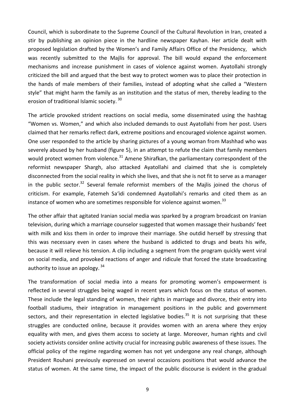Council, which is subordinate to the Supreme Council of the Cultural Revolution in Iran, created a stir by publishing an opinion piece in the hardline newspaper Kayhan. Her article dealt with proposed legislation drafted by the Women's and Family Affairs Office of the Presidency, which was recently submitted to the Majlis for approval. The bill would expand the enforcement mechanisms and increase punishment in cases of violence against women. Ayatollahi strongly criticized the bill and argued that the best way to protect women was to place their protection in the hands of male members of their families, instead of adopting what she called a "Western style" that might harm the family as an institution and the status of men, thereby leading to the erosion of traditional Islamic society.<sup>30</sup>

The article provoked strident reactions on social media, some disseminated using the hashtag "Women vs. Women," and which also included demands to oust Ayatollahi from her post. Users claimed that her remarks reflect dark, extreme positions and encouraged violence against women. One user responded to the article by sharing pictures of a young woman from Mashhad who was severely abused by her husband (figure 5), in an attempt to refute the claim that family members would protect women from violence.<sup>31</sup> Amene Shirafkan, the parliamentary correspondent of the reformist newspaper Shargh, also attacked Ayatollahi and claimed that she is completely disconnected from the social reality in which she lives, and that she is not fit to serve as a manager in the public sector.<sup>32</sup> Several female reformist members of the Majlis joined the chorus of criticism. For example, Fatemeh Sa'idi condemned Ayatollahi's remarks and cited them as an instance of women who are sometimes responsible for violence against women.<sup>33</sup>

The other affair that agitated Iranian social media was sparked by a program broadcast on Iranian television, during which a marriage counselor suggested that women massage their husbands' feet with milk and kiss them in order to improve their marriage. She outdid herself by stressing that this was necessary even in cases where the husband is addicted to drugs and beats his wife, because it will relieve his tension. A clip including a segment from the program quickly went viral on social media, and provoked reactions of anger and ridicule that forced the state broadcasting authority to issue an apology. 34

The transformation of social media into a means for promoting women's empowerment is reflected in several struggles being waged in recent years which focus on the status of women. These include the legal standing of women, their rights in marriage and divorce, their entry into football stadiums, their integration in management positions in the public and government sectors, and their representation in elected legislative bodies.<sup>35</sup> It is not surprising that these struggles are conducted online, because it provides women with an arena where they enjoy equality with men, and gives them access to society at large. Moreover, human rights and civil society activists consider online activity crucial for increasing public awareness of these issues. The official policy of the regime regarding women has not yet undergone any real change, although President Rouhani previously expressed on several occasions positions that would advance the status of women. At the same time, the impact of the public discourse is evident in the gradual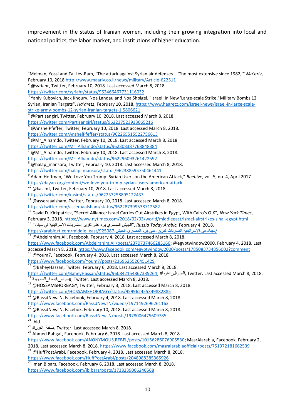improvement in the status of Iranian women, including their growing integration into local and national politics, the labor market, and institutions of higher education.

- $11$  @asseraaalsham, Twitter, February 10, 2018. Last accessed March 8, 2018.
- <https://twitter.com/asseraaalsham/status/962287399538712582>

<https://www.facebook.com/Youm7/posts/2369525526451429>

```
https://twitter.com/BaheyHassan/status/960842154867339264; #عاريا_الجنرال, Twitter. Last accessed March 8, 2018.
```

```
\frac{17}{17}سيناء بقبضة الصهاينة\mu, Twitter. Last accessed March 8, 2018.
```

```
18 @HOSSAMSHORBAGY, Twitter, February 3, 2018. Last accessed March 8, 2018.
```

```
https://twitter.com/HOSSAMSHORBAGY/status/959962455349882885
```
**<sup>.</sup>** <sup>1</sup>Melman, Yossi and Tal Lev-Ram, "The attack against Syrian air defenses – 'The most extensive since 1982,'" *Ma'ariv*, February 10, 201[8 http://www.maariv.co.il/news/military/Article-622511](http://www.maariv.co.il/news/military/Article-622511)

<sup>2</sup> @syriahr, Twitter, February 10, 2018. Last accessed March 8, 2018.

<https://twitter.com/syriahr/status/962466467731116032>

<sup>&</sup>lt;sup>3</sup> Yaniv Kubovich, Jack Khoury, Noa Landau and Noa Shpigel, "Israel: In New 'Large-scale Strike,' Military Bombs 12 Syrian, Iranian Targets", *Ha'aretz*, February 10, 2018[, https://www.haaretz.com/israel-news/israel-in-large-scale](https://www.haaretz.com/israel-news/israel-in-large-scale-strike-army-bombs-12-syrian-iranian-targets-1.5806621)[strike-army-bombs-12-syrian-iranian-targets-1.5806621](https://www.haaretz.com/israel-news/israel-in-large-scale-strike-army-bombs-12-syrian-iranian-targets-1.5806621)

<sup>4</sup> @Partisangirl, Twitter, February 10, 2018. Last accessed March 8, 2018.

<https://twitter.com/Partisangirl/status/962237523933065216>

<sup>@</sup>AnshelPfeffer, Twitter, February 10, 2018. Last accessed March 8, 2018.

<https://twitter.com/AnshelPfeffer/status/962265515522756613>

<sup>@</sup>Mr\_Alhamdo, Twitter, February 10, 2018. Last accessed March 8, 2018.

[https://twitter.com/Mr\\_Alhamdo/status/962308387768848384](https://twitter.com/Mr_Alhamdo/status/962308387768848384)

<sup>@</sup>Mr\_Alhamdo, Twitter, February 10, 2018. Last accessed March 8, 2018.

[https://twitter.com/Mr\\_Alhamdo/status/962296093261422592](https://twitter.com/Mr_Alhamdo/status/962296093261422592) @halap\_mansora, Twitter, February 10, 2018. Last accessed March 8, 2018.

[https://twitter.com/halap\\_mansora/status/962388595750461441](https://twitter.com/halap_mansora/status/962388595750461441)

<sup>9</sup> Adam Hoffman, "We Love You Trump: Syrian Users on the American Attack," *Beehive*, vol. 5, no. 4, April 2017

[https://dayan.org/content/we-love-you-trump-syrian-users-american-attack.](https://dayan.org/content/we-love-you-trump-syrian-users-american-attack)  $\frac{10}{10}$  @kasimf, Twitter, February 10, 2018. Last accessed March 8, 2018.

<https://twitter.com/kasimf/status/962237258895122433>

<sup>12</sup> David D. Kirkpatrick, "Secret Alliance: Israel Carries Out Airstrikes in Egypt, With Cairo's O.K", *New York Times*, February 3, 2018. <https://www.nytimes.com/2018/02/03/world/middleeast/israel-airstrikes-sinai-egypt.html>

 <sup>2018. 4,</sup> February *,Arabic Today Russia* ,"الجیش المصري يرد على تقرير الضربات اإلسرائیلیة في سیناء" <sup>13</sup>

[<sup>/</sup>](https://arabic.rt.com/middle_east/925087-%D8%A7%D9%84%D8%AC%D9%8A%D8%B4-%D8%A7%D9%84%D9%85%D8%B5%D8%B1%D9%8A-%D9%8A%D8%B1%D8%AF-%D8%B9%D9%84%D9%89-%D8%AA%D9%82%D8%B1%D9%8A%D8%B1-%D8%A7%D9%84%D8%B6%D8%B1%D8%A8%D8%A7%D8%AA-%D8%A7%D9%84%D8%A5%D8%B3%D8%B1%D8%A7%D8%A6%D9%8A%D9%84%D9%8A%D8%A9-%D9%81%D9%8A-%D8%B3%D9%8A%D9%86%D8%A7%D8%A1/)[سیناء](https://arabic.rt.com/middle_east/925087-%D8%A7%D9%84%D8%AC%D9%8A%D8%B4-%D8%A7%D9%84%D9%85%D8%B5%D8%B1%D9%8A-%D9%8A%D8%B1%D8%AF-%D8%B9%D9%84%D9%89-%D8%AA%D9%82%D8%B1%D9%8A%D8%B1-%D8%A7%D9%84%D8%B6%D8%B1%D8%A8%D8%A7%D8%AA-%D8%A7%D9%84%D8%A5%D8%B3%D8%B1%D8%A7%D8%A6%D9%8A%D9%84%D9%8A%D8%A9-%D9%81%D9%8A-%D8%B3%D9%8A%D9%86%D8%A7%D8%A1/)[-](https://arabic.rt.com/middle_east/925087-%D8%A7%D9%84%D8%AC%D9%8A%D8%B4-%D8%A7%D9%84%D9%85%D8%B5%D8%B1%D9%8A-%D9%8A%D8%B1%D8%AF-%D8%B9%D9%84%D9%89-%D8%AA%D9%82%D8%B1%D9%8A%D8%B1-%D8%A7%D9%84%D8%B6%D8%B1%D8%A8%D8%A7%D8%AA-%D8%A7%D9%84%D8%A5%D8%B3%D8%B1%D8%A7%D8%A6%D9%8A%D9%84%D9%8A%D8%A9-%D9%81%D9%8A-%D8%B3%D9%8A%D9%86%D8%A7%D8%A1/)[في](https://arabic.rt.com/middle_east/925087-%D8%A7%D9%84%D8%AC%D9%8A%D8%B4-%D8%A7%D9%84%D9%85%D8%B5%D8%B1%D9%8A-%D9%8A%D8%B1%D8%AF-%D8%B9%D9%84%D9%89-%D8%AA%D9%82%D8%B1%D9%8A%D8%B1-%D8%A7%D9%84%D8%B6%D8%B1%D8%A8%D8%A7%D8%AA-%D8%A7%D9%84%D8%A5%D8%B3%D8%B1%D8%A7%D8%A6%D9%8A%D9%84%D9%8A%D8%A9-%D9%81%D9%8A-%D8%B3%D9%8A%D9%86%D8%A7%D8%A1/)[-](https://arabic.rt.com/middle_east/925087-%D8%A7%D9%84%D8%AC%D9%8A%D8%B4-%D8%A7%D9%84%D9%85%D8%B5%D8%B1%D9%8A-%D9%8A%D8%B1%D8%AF-%D8%B9%D9%84%D9%89-%D8%AA%D9%82%D8%B1%D9%8A%D8%B1-%D8%A7%D9%84%D8%B6%D8%B1%D8%A8%D8%A7%D8%AA-%D8%A7%D9%84%D8%A5%D8%B3%D8%B1%D8%A7%D8%A6%D9%8A%D9%84%D9%8A%D8%A9-%D9%81%D9%8A-%D8%B3%D9%8A%D9%86%D8%A7%D8%A1/)[اإلسرائیلیة](https://arabic.rt.com/middle_east/925087-%D8%A7%D9%84%D8%AC%D9%8A%D8%B4-%D8%A7%D9%84%D9%85%D8%B5%D8%B1%D9%8A-%D9%8A%D8%B1%D8%AF-%D8%B9%D9%84%D9%89-%D8%AA%D9%82%D8%B1%D9%8A%D8%B1-%D8%A7%D9%84%D8%B6%D8%B1%D8%A8%D8%A7%D8%AA-%D8%A7%D9%84%D8%A5%D8%B3%D8%B1%D8%A7%D8%A6%D9%8A%D9%84%D9%8A%D8%A9-%D9%81%D9%8A-%D8%B3%D9%8A%D9%86%D8%A7%D8%A1/)[-](https://arabic.rt.com/middle_east/925087-%D8%A7%D9%84%D8%AC%D9%8A%D8%B4-%D8%A7%D9%84%D9%85%D8%B5%D8%B1%D9%8A-%D9%8A%D8%B1%D8%AF-%D8%B9%D9%84%D9%89-%D8%AA%D9%82%D8%B1%D9%8A%D8%B1-%D8%A7%D9%84%D8%B6%D8%B1%D8%A8%D8%A7%D8%AA-%D8%A7%D9%84%D8%A5%D8%B3%D8%B1%D8%A7%D8%A6%D9%8A%D9%84%D9%8A%D8%A9-%D9%81%D9%8A-%D8%B3%D9%8A%D9%86%D8%A7%D8%A1/)[الضربات](https://arabic.rt.com/middle_east/925087-%D8%A7%D9%84%D8%AC%D9%8A%D8%B4-%D8%A7%D9%84%D9%85%D8%B5%D8%B1%D9%8A-%D9%8A%D8%B1%D8%AF-%D8%B9%D9%84%D9%89-%D8%AA%D9%82%D8%B1%D9%8A%D8%B1-%D8%A7%D9%84%D8%B6%D8%B1%D8%A8%D8%A7%D8%AA-%D8%A7%D9%84%D8%A5%D8%B3%D8%B1%D8%A7%D8%A6%D9%8A%D9%84%D9%8A%D8%A9-%D9%81%D9%8A-%D8%B3%D9%8A%D9%86%D8%A7%D8%A1/)[-](https://arabic.rt.com/middle_east/925087-%D8%A7%D9%84%D8%AC%D9%8A%D8%B4-%D8%A7%D9%84%D9%85%D8%B5%D8%B1%D9%8A-%D9%8A%D8%B1%D8%AF-%D8%B9%D9%84%D9%89-%D8%AA%D9%82%D8%B1%D9%8A%D8%B1-%D8%A7%D9%84%D8%B6%D8%B1%D8%A8%D8%A7%D8%AA-%D8%A7%D9%84%D8%A5%D8%B3%D8%B1%D8%A7%D8%A6%D9%8A%D9%84%D9%8A%D8%A9-%D9%81%D9%8A-%D8%B3%D9%8A%D9%86%D8%A7%D8%A1/)[تقرير](https://arabic.rt.com/middle_east/925087-%D8%A7%D9%84%D8%AC%D9%8A%D8%B4-%D8%A7%D9%84%D9%85%D8%B5%D8%B1%D9%8A-%D9%8A%D8%B1%D8%AF-%D8%B9%D9%84%D9%89-%D8%AA%D9%82%D8%B1%D9%8A%D8%B1-%D8%A7%D9%84%D8%B6%D8%B1%D8%A8%D8%A7%D8%AA-%D8%A7%D9%84%D8%A5%D8%B3%D8%B1%D8%A7%D8%A6%D9%8A%D9%84%D9%8A%D8%A9-%D9%81%D9%8A-%D8%B3%D9%8A%D9%86%D8%A7%D8%A1/)[-](https://arabic.rt.com/middle_east/925087-%D8%A7%D9%84%D8%AC%D9%8A%D8%B4-%D8%A7%D9%84%D9%85%D8%B5%D8%B1%D9%8A-%D9%8A%D8%B1%D8%AF-%D8%B9%D9%84%D9%89-%D8%AA%D9%82%D8%B1%D9%8A%D8%B1-%D8%A7%D9%84%D8%B6%D8%B1%D8%A8%D8%A7%D8%AA-%D8%A7%D9%84%D8%A5%D8%B3%D8%B1%D8%A7%D8%A6%D9%8A%D9%84%D9%8A%D8%A9-%D9%81%D9%8A-%D8%B3%D9%8A%D9%86%D8%A7%D8%A1/)[على](https://arabic.rt.com/middle_east/925087-%D8%A7%D9%84%D8%AC%D9%8A%D8%B4-%D8%A7%D9%84%D9%85%D8%B5%D8%B1%D9%8A-%D9%8A%D8%B1%D8%AF-%D8%B9%D9%84%D9%89-%D8%AA%D9%82%D8%B1%D9%8A%D8%B1-%D8%A7%D9%84%D8%B6%D8%B1%D8%A8%D8%A7%D8%AA-%D8%A7%D9%84%D8%A5%D8%B3%D8%B1%D8%A7%D8%A6%D9%8A%D9%84%D9%8A%D8%A9-%D9%81%D9%8A-%D8%B3%D9%8A%D9%86%D8%A7%D8%A1/)[-](https://arabic.rt.com/middle_east/925087-%D8%A7%D9%84%D8%AC%D9%8A%D8%B4-%D8%A7%D9%84%D9%85%D8%B5%D8%B1%D9%8A-%D9%8A%D8%B1%D8%AF-%D8%B9%D9%84%D9%89-%D8%AA%D9%82%D8%B1%D9%8A%D8%B1-%D8%A7%D9%84%D8%B6%D8%B1%D8%A8%D8%A7%D8%AA-%D8%A7%D9%84%D8%A5%D8%B3%D8%B1%D8%A7%D8%A6%D9%8A%D9%84%D9%8A%D8%A9-%D9%81%D9%8A-%D8%B3%D9%8A%D9%86%D8%A7%D8%A1/)[يرد](https://arabic.rt.com/middle_east/925087-%D8%A7%D9%84%D8%AC%D9%8A%D8%B4-%D8%A7%D9%84%D9%85%D8%B5%D8%B1%D9%8A-%D9%8A%D8%B1%D8%AF-%D8%B9%D9%84%D9%89-%D8%AA%D9%82%D8%B1%D9%8A%D8%B1-%D8%A7%D9%84%D8%B6%D8%B1%D8%A8%D8%A7%D8%AA-%D8%A7%D9%84%D8%A5%D8%B3%D8%B1%D8%A7%D8%A6%D9%8A%D9%84%D9%8A%D8%A9-%D9%81%D9%8A-%D8%B3%D9%8A%D9%86%D8%A7%D8%A1/)[-](https://arabic.rt.com/middle_east/925087-%D8%A7%D9%84%D8%AC%D9%8A%D8%B4-%D8%A7%D9%84%D9%85%D8%B5%D8%B1%D9%8A-%D9%8A%D8%B1%D8%AF-%D8%B9%D9%84%D9%89-%D8%AA%D9%82%D8%B1%D9%8A%D8%B1-%D8%A7%D9%84%D8%B6%D8%B1%D8%A8%D8%A7%D8%AA-%D8%A7%D9%84%D8%A5%D8%B3%D8%B1%D8%A7%D8%A6%D9%8A%D9%84%D9%8A%D8%A9-%D9%81%D9%8A-%D8%B3%D9%8A%D9%86%D8%A7%D8%A1/)[المصري](https://arabic.rt.com/middle_east/925087-%D8%A7%D9%84%D8%AC%D9%8A%D8%B4-%D8%A7%D9%84%D9%85%D8%B5%D8%B1%D9%8A-%D9%8A%D8%B1%D8%AF-%D8%B9%D9%84%D9%89-%D8%AA%D9%82%D8%B1%D9%8A%D8%B1-%D8%A7%D9%84%D8%B6%D8%B1%D8%A8%D8%A7%D8%AA-%D8%A7%D9%84%D8%A5%D8%B3%D8%B1%D8%A7%D8%A6%D9%8A%D9%84%D9%8A%D8%A9-%D9%81%D9%8A-%D8%B3%D9%8A%D9%86%D8%A7%D8%A1/)[-](https://arabic.rt.com/middle_east/925087-%D8%A7%D9%84%D8%AC%D9%8A%D8%B4-%D8%A7%D9%84%D9%85%D8%B5%D8%B1%D9%8A-%D9%8A%D8%B1%D8%AF-%D8%B9%D9%84%D9%89-%D8%AA%D9%82%D8%B1%D9%8A%D8%B1-%D8%A7%D9%84%D8%B6%D8%B1%D8%A8%D8%A7%D8%AA-%D8%A7%D9%84%D8%A5%D8%B3%D8%B1%D8%A7%D8%A6%D9%8A%D9%84%D9%8A%D8%A9-%D9%81%D9%8A-%D8%B3%D9%8A%D9%86%D8%A7%D8%A1/)[الجیش](https://arabic.rt.com/middle_east/925087-%D8%A7%D9%84%D8%AC%D9%8A%D8%B4-%D8%A7%D9%84%D9%85%D8%B5%D8%B1%D9%8A-%D9%8A%D8%B1%D8%AF-%D8%B9%D9%84%D9%89-%D8%AA%D9%82%D8%B1%D9%8A%D8%B1-%D8%A7%D9%84%D8%B6%D8%B1%D8%A8%D8%A7%D8%AA-%D8%A7%D9%84%D8%A5%D8%B3%D8%B1%D8%A7%D8%A6%D9%8A%D9%84%D9%8A%D8%A9-%D9%81%D9%8A-%D8%B3%D9%8A%D9%86%D8%A7%D8%A1/)[/925087-east\\_middle/com.rt.arabic://https](https://arabic.rt.com/middle_east/925087-%D8%A7%D9%84%D8%AC%D9%8A%D8%B4-%D8%A7%D9%84%D9%85%D8%B5%D8%B1%D9%8A-%D9%8A%D8%B1%D8%AF-%D8%B9%D9%84%D9%89-%D8%AA%D9%82%D8%B1%D9%8A%D8%B1-%D8%A7%D9%84%D8%B6%D8%B1%D8%A8%D8%A7%D8%AA-%D8%A7%D9%84%D8%A5%D8%B3%D8%B1%D8%A7%D8%A6%D9%8A%D9%84%D9%8A%D8%A9-%D9%81%D9%8A-%D8%B3%D9%8A%D9%86%D8%A7%D8%A1/)

<sup>14</sup> @Abdelrahim.Ali, Facebook, February 4, 2018. Last accessed March 8, 2018.

[https://www.facebook.com/Abdelrahim.Ali/posts/2370737466285166;](https://www.facebook.com/Abdelrahim.Ali/posts/2370737466285166) @egyptwindow2000, February 4, 2018. Last accessed March 8, 2018[. https://www.facebook.com/egyptwindow2000/posts/1785083734856002?comment](https://www.facebook.com/egyptwindow2000/posts/1785083734856002?comment)

<sup>&</sup>lt;sup>15</sup> @Youm7, Facebook, February 4, 2018. Last accessed March 8, 2018.

 $^{16}$  @BahevHassan, Twitter. February 6, 2018. Last accessed March 8, 2018.

<sup>19</sup> @RassdNewsN, Facebook, February 4, 2018. Last accessed March 8, 2018.

<https://www.facebook.com/RassdNewsN/videos/1971492696261163>

 $\frac{20}{20}$  @RassdNewsN, Facebok, February 10, 2018. Last accessed March 8, 2018.

<https://www.facebook.com/RassdNewsN/posts/1978006475609785>

 $21$  Ibid.

<sup>22</sup> #القرن\_صفقة, Twitter. Last accessed March 8, 2018.

<sup>&</sup>lt;sup>23</sup> Ahmed Bahgat, Facebook, February 6, 2018. Last accessed March 8, 2018.

[https://www.facebook.com/ANONYMOUS.REBEL/posts/10156286076905530;](https://www.facebook.com/ANONYMOUS.REBEL/posts/10156286076905530) MasrAlarabia, Facebook, February 2, 2018. Last accessed March 8, 2018.<https://www.facebook.com/masralarabiaofficial/posts/751972181662539>

 $^{24}$  @HuffPostArabi, Facebook, February 4, 2018. Last accessed March 8, 2018.

<https://www.facebook.com/HuffPostArabi/posts/2048988385365926>

 $\frac{25}{25}$  Iman Bibars, Facebook, February 6, 2018. Last accessed March 8, 2018. <https://www.facebook.com/ibibars/posts/1738239006240568>